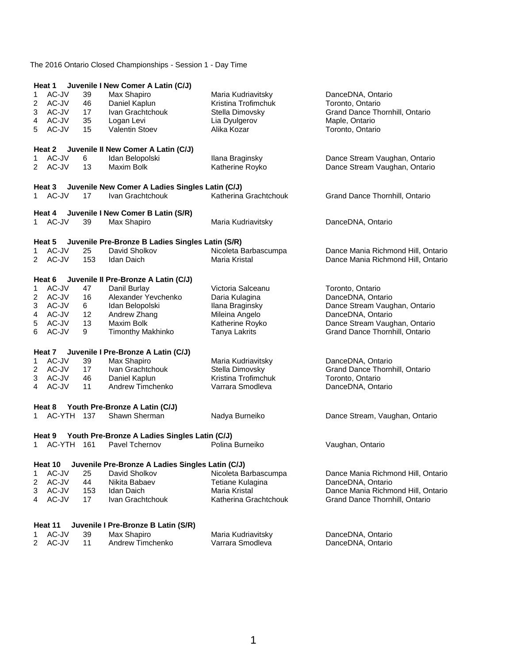|                | Heat 1         |          | Juvenile I New Comer A Latin (C/J)               |                                        |                                    |
|----------------|----------------|----------|--------------------------------------------------|----------------------------------------|------------------------------------|
| 1              | AC-JV          | 39       | Max Shapiro                                      | Maria Kudriavitsky                     | DanceDNA, Ontario                  |
| 2              | AC-JV          | 46       | Daniel Kaplun                                    | Kristina Trofimchuk                    | Toronto, Ontario                   |
| 3              | AC-JV          | 17       | Ivan Grachtchouk                                 | Stella Dimovsky                        | Grand Dance Thornhill, Ontario     |
| 4              | AC-JV          | 35       | Logan Levi                                       | Lia Dyulgerov                          | Maple, Ontario                     |
| 5              | AC-JV          | 15       | <b>Valentin Stoev</b>                            | Alika Kozar                            | Toronto, Ontario                   |
|                | Heat 2         |          | Juvenile II New Comer A Latin (C/J)              |                                        |                                    |
| 1              | AC-JV          | 6        | Idan Belopolski                                  | Ilana Braginsky                        | Dance Stream Vaughan, Ontario      |
| 2              | AC-JV          | 13       | <b>Maxim Bolk</b>                                | Katherine Royko                        | Dance Stream Vaughan, Ontario      |
|                | Heat 3         |          | Juvenile New Comer A Ladies Singles Latin (C/J)  |                                        |                                    |
| 1              | AC-JV          | 17       | Ivan Grachtchouk                                 | Katherina Grachtchouk                  | Grand Dance Thornhill, Ontario     |
|                | Heat 4         |          | Juvenile I New Comer B Latin (S/R)               |                                        |                                    |
| 1              | AC-JV          | 39       | Max Shapiro                                      | Maria Kudriavitsky                     | DanceDNA, Ontario                  |
|                | Heat 5         |          | Juvenile Pre-Bronze B Ladies Singles Latin (S/R) |                                        |                                    |
| 1              | AC-JV          | 25       | David Sholkov                                    | Nicoleta Barbascumpa                   | Dance Mania Richmond Hill, Ontario |
| $\overline{2}$ | AC-JV          | 153      | <b>Idan Daich</b>                                | Maria Kristal                          | Dance Mania Richmond Hill, Ontario |
|                | Heat 6         |          | Juvenile II Pre-Bronze A Latin (C/J)             |                                        |                                    |
| 1              | AC-JV          | 47       | Danil Burlay                                     | Victoria Salceanu                      | Toronto, Ontario                   |
| 2              | AC-JV          | 16       | Alexander Yevchenko                              | Daria Kulagina                         | DanceDNA, Ontario                  |
| 3              | AC-JV          | 6        | Idan Belopolski                                  | Ilana Braginsky                        | Dance Stream Vaughan, Ontario      |
| 4              | AC-JV          | 12       | Andrew Zhang                                     | Mileina Angelo                         | DanceDNA, Ontario                  |
| 5              | AC-JV          | 13       | <b>Maxim Bolk</b>                                | Katherine Royko                        | Dance Stream Vaughan, Ontario      |
| 6              | AC-JV          | 9        | <b>Timonthy Makhinko</b>                         | Tanya Lakrits                          | Grand Dance Thornhill, Ontario     |
|                | Heat 7         |          | Juvenile I Pre-Bronze A Latin (C/J)              |                                        |                                    |
| 1              | AC-JV          | 39       | Max Shapiro                                      | Maria Kudriavitsky                     | DanceDNA, Ontario                  |
| 2              | AC-JV          | 17       | Ivan Grachtchouk                                 | Stella Dimovsky                        | Grand Dance Thornhill, Ontario     |
| 3              | AC-JV          | 46       | Daniel Kaplun                                    | Kristina Trofimchuk                    | Toronto, Ontario                   |
| 4              | AC-JV          | 11       | Andrew Timchenko                                 | Varrara Smodleva                       | DanceDNA, Ontario                  |
|                | Heat 8         |          | Youth Pre-Bronze A Latin (C/J)                   |                                        |                                    |
| 1.             | AC-YTH 137     |          | Shawn Sherman                                    | Nadya Burneiko                         | Dance Stream, Vaughan, Ontario     |
|                | Heat 9         |          | Youth Pre-Bronze A Ladies Singles Latin (C/J)    |                                        |                                    |
| 1              | AC-YTH         | 161      | Pavel Tchernov                                   | Polina Burneiko                        | Vaughan, Ontario                   |
|                | Heat 10        |          | Juvenile Pre-Bronze A Ladies Singles Latin (C/J) |                                        |                                    |
| 1              | AC-JV          | 25       | David Sholkov                                    | Nicoleta Barbascumpa                   | Dance Mania Richmond Hill, Ontario |
| 2              | AC-JV          | 44       | Nikita Babaev                                    | Tetiane Kulagina                       | DanceDNA, Ontario                  |
| 3              | AC-JV          | 153      | <b>Idan Daich</b>                                | Maria Kristal                          | Dance Mania Richmond Hill, Ontario |
| 4              | AC-JV          | 17       | Ivan Grachtchouk                                 | Katherina Grachtchouk                  | Grand Dance Thornhill, Ontario     |
|                |                |          |                                                  |                                        |                                    |
|                | Heat 11        |          | Juvenile I Pre-Bronze B Latin (S/R)              |                                        |                                    |
| 1<br>2         | AC-JV<br>AC-JV | 39<br>11 | Max Shapiro<br>Andrew Timchenko                  | Maria Kudriavitsky<br>Varrara Smodleva | DanceDNA, Ontario                  |
|                |                |          |                                                  |                                        | DanceDNA, Ontario                  |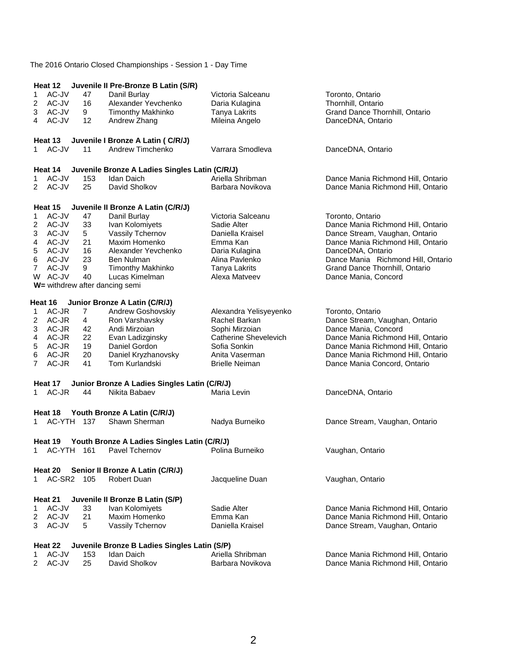|           | Heat 12            |            | Juvenile II Pre-Bronze B Latin (S/R)                   |                        |                                    |
|-----------|--------------------|------------|--------------------------------------------------------|------------------------|------------------------------------|
| 1         | AC-JV              | 47         | Danil Burlay                                           | Victoria Salceanu      | Toronto, Ontario                   |
| 2         | AC-JV              | 16         | Alexander Yevchenko                                    | Daria Kulagina         | Thornhill, Ontario                 |
| 3         | AC-JV              | 9          | <b>Timonthy Makhinko</b>                               | Tanya Lakrits          | Grand Dance Thornhill, Ontario     |
| 4         | AC-JV              | 12         | Andrew Zhang                                           | Mileina Angelo         | DanceDNA, Ontario                  |
|           |                    |            |                                                        |                        |                                    |
|           | Heat 13<br>1 AC-JV |            | Juvenile I Bronze A Latin ( C/R/J)<br>Andrew Timchenko | Varrara Smodleva       |                                    |
|           |                    | 11         |                                                        |                        | DanceDNA, Ontario                  |
|           | Heat 14            |            | Juvenile Bronze A Ladies Singles Latin (C/R/J)         |                        |                                    |
| 1         | AC-JV              | 153        | <b>Idan Daich</b>                                      | Ariella Shribman       | Dance Mania Richmond Hill, Ontario |
| 2         | AC-JV              | 25         | David Sholkov                                          | Barbara Novikova       | Dance Mania Richmond Hill, Ontario |
|           |                    |            |                                                        |                        |                                    |
|           | Heat 15            |            | Juvenile II Bronze A Latin (C/R/J)                     |                        |                                    |
| 1         | AC-JV              | 47         | Danil Burlay                                           | Victoria Salceanu      | Toronto, Ontario                   |
| 2         | AC-JV              | 33         | Ivan Kolomiyets                                        | Sadie Alter            | Dance Mania Richmond Hill, Ontario |
| 3         | AC-JV              | 5          | Vassily Tchernov                                       | Daniella Kraisel       | Dance Stream, Vaughan, Ontario     |
| 4         | AC-JV              | 21         | Maxim Homenko                                          | Emma Kan               | Dance Mania Richmond Hill, Ontario |
| 5         | AC-JV              | 16         | Alexander Yevchenko                                    | Daria Kulagina         | DanceDNA, Ontario                  |
| 6         | AC-JV              | 23         | <b>Ben Nulman</b>                                      | Alina Pavlenko         | Dance Mania Richmond Hill, Ontario |
| 7         | AC-JV              | 9          | <b>Timonthy Makhinko</b>                               | Tanya Lakrits          | Grand Dance Thornhill, Ontario     |
| W         | AC-JV              | 40         | Lucas Kimelman                                         | Alexa Matveev          | Dance Mania, Concord               |
|           |                    |            | W= withdrew after dancing semi                         |                        |                                    |
|           | Heat 16            |            | Junior Bronze A Latin (C/R/J)                          |                        |                                    |
| 1         | AC-JR              | 7          | Andrew Goshovskiy                                      | Alexandra Yelisyeyenko | Toronto, Ontario                   |
| 2         | AC-JR              | 4          | Ron Varshavsky                                         | Rachel Barkan          | Dance Stream, Vaughan, Ontario     |
| 3         | AC-JR              | 42         | Andi Mirzoian                                          | Sophi Mirzoian         | Dance Mania, Concord               |
| 4         | AC-JR              | 22         | Evan Ladizginsky                                       | Catherine Shevelevich  | Dance Mania Richmond Hill, Ontario |
| 5         | AC-JR              | 19         | Daniel Gordon                                          | Sofia Sonkin           | Dance Mania Richmond Hill, Ontario |
| 6         | AC-JR              | 20         | Daniel Kryzhanovsky                                    | Anita Vaserman         | Dance Mania Richmond Hill, Ontario |
| 7         | AC-JR              | 41         | Tom Kurlandski                                         | <b>Brielle Neiman</b>  | Dance Mania Concord, Ontario       |
|           |                    |            |                                                        |                        |                                    |
|           | Heat 17            |            | Junior Bronze A Ladies Singles Latin (C/R/J)           |                        |                                    |
| 1         | AC-JR              | 44         | Nikita Babaev                                          | Maria Levin            | DanceDNA, Ontario                  |
|           |                    |            |                                                        |                        |                                    |
| $1 \quad$ | Heat 18            | AC-YTH 137 | Youth Bronze A Latin (C/R/J)<br>Shawn Sherman          |                        |                                    |
|           |                    |            |                                                        | Nadya Burneiko         | Dance Stream, Vaughan, Ontario     |
|           | Heat 19            |            | Youth Bronze A Ladies Singles Latin (C/R/J)            |                        |                                    |
| 1.        | AC-YTH 161         |            | Pavel Tchernov                                         | Polina Burneiko        | Vaughan, Ontario                   |
|           |                    |            |                                                        |                        |                                    |
|           | Heat 20            |            | Senior II Bronze A Latin (C/R/J)                       |                        |                                    |
| 1.        | AC-SR2             | 105        | <b>Robert Duan</b>                                     | Jacqueline Duan        | Vaughan, Ontario                   |
|           | Heat 21            |            | Juvenile II Bronze B Latin (S/P)                       |                        |                                    |
| 1         | AC-JV              | 33         | Ivan Kolomiyets                                        | Sadie Alter            | Dance Mania Richmond Hill, Ontario |
| 2         | AC-JV              | 21         | Maxim Homenko                                          | Emma Kan               | Dance Mania Richmond Hill, Ontario |
| 3         | AC-JV              | 5          | Vassily Tchernov                                       | Daniella Kraisel       | Dance Stream, Vaughan, Ontario     |
|           |                    |            |                                                        |                        |                                    |
|           | Heat 22            |            | Juvenile Bronze B Ladies Singles Latin (S/P)           |                        |                                    |
| 1         | AC-JV              | 153        | Idan Daich                                             | Ariella Shribman       | Dance Mania Richmond Hill, Ontario |
| 2         | AC-JV              | 25         | David Sholkov                                          | Barbara Novikova       | Dance Mania Richmond Hill, Ontario |
|           |                    |            |                                                        |                        |                                    |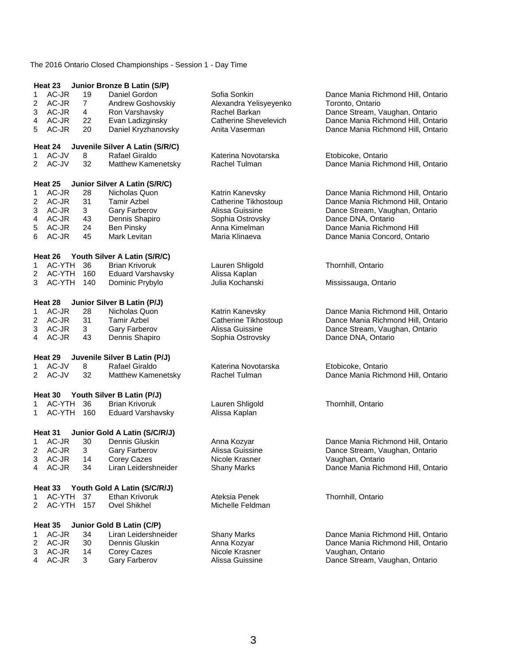|                | Heat 23          |     | Junior Bronze B Latin (S/P)     |                        |                                    |
|----------------|------------------|-----|---------------------------------|------------------------|------------------------------------|
| 1              | AC-JR            | 19  | Daniel Gordon                   | Sofia Sonkin           | Dance Mania Richmond Hill, Ontario |
| 2              | AC-JR            | 7   | Andrew Goshovskiy               | Alexandra Yelisyeyenko | Toronto, Ontario                   |
| 3              | AC-JR            | 4   | Ron Varshavsky                  | Rachel Barkan          | Dance Stream, Vaughan, Ontario     |
| 4              | AC-JR            | 22  | Evan Ladizginsky                | Catherine Shevelevich  | Dance Mania Richmond Hill, Ontario |
| 5              | AC-JR            | 20  | Daniel Kryzhanovsky             | Anita Vaserman         | Dance Mania Richmond Hill, Ontario |
|                | Heat 24          |     | Juvenile Silver A Latin (S/R/C) |                        |                                    |
| 1.             | AC-JV            | 8   | Rafael Giraldo                  | Katerina Novotarska    | Etobicoke, Ontario                 |
| $\overline{2}$ | AC-JV            | 32  | Matthew Kamenetsky              | Rachel Tulman          | Dance Mania Richmond Hill, Ontario |
|                |                  |     |                                 |                        |                                    |
|                | Heat 25          |     | Junior Silver A Latin (S/R/C)   |                        |                                    |
| 1              | AC-JR            | 28  | Nicholas Quon                   | Katrin Kanevsky        | Dance Mania Richmond Hill, Ontario |
| 2              | AC-JR            | 31  | <b>Tamir Azbel</b>              | Catherine Tikhostoup   | Dance Mania Richmond Hill, Ontario |
| 3              | AC-JR            | 3   | Gary Farberov                   | Alissa Guissine        | Dance Stream, Vaughan, Ontario     |
| 4              | AC-JR            | 43  | Dennis Shapiro                  | Sophia Ostrovsky       | Dance DNA, Ontario                 |
| 5              | AC-JR            | 24  | <b>Ben Pinsky</b>               | Anna Kimelman          | Dance Mania Richmond Hill          |
| 6              | AC-JR            | 45  | Mark Levitan                    | Maria Klinaeva         | Dance Mania Concord, Ontario       |
|                |                  |     |                                 |                        |                                    |
|                | Heat 26          |     | Youth Silver A Latin (S/R/C)    |                        |                                    |
| 1              | AC-YTH           | 36  | <b>Brian Krivoruk</b>           | Lauren Shligold        | Thornhill, Ontario                 |
| 2              | AC-YTH           | 160 | <b>Eduard Varshavsky</b>        | Alissa Kaplan          |                                    |
| 3              | AC-YTH           | 140 | Dominic Prybylo                 | Julia Kochanski        | Mississauga, Ontario               |
|                |                  |     |                                 |                        |                                    |
|                | Heat 28          |     | Junior Silver B Latin (P/J)     |                        |                                    |
| 1              | AC-JR            | 28  | Nicholas Quon                   | Katrin Kanevsky        | Dance Mania Richmond Hill, Ontario |
| 2              | AC-JR            | 31  | <b>Tamir Azbel</b>              | Catherine Tikhostoup   | Dance Mania Richmond Hill, Ontario |
| 3              | AC-JR            | 3   | Gary Farberov                   | Alissa Guissine        | Dance Stream, Vaughan, Ontario     |
| 4              | AC-JR            | 43  | Dennis Shapiro                  | Sophia Ostrovsky       | Dance DNA, Ontario                 |
|                | Heat 29          |     | Juvenile Silver B Latin (P/J)   |                        |                                    |
| 1              | AC-JV            | 8   | Rafael Giraldo                  | Katerina Novotarska    | Etobicoke, Ontario                 |
| 2              | AC-JV            | 32  | Matthew Kamenetsky              | Rachel Tulman          | Dance Mania Richmond Hill, Ontario |
|                |                  |     |                                 |                        |                                    |
|                | Heat 30          |     | Youth Silver B Latin (P/J)      |                        |                                    |
| 1              | AC-YTH           | 36  | <b>Brian Krivoruk</b>           | Lauren Shligold        | Thornhill, Ontario                 |
| 1              | AC-YTH           | 160 | <b>Eduard Varshavsky</b>        | Alissa Kaplan          |                                    |
|                |                  |     |                                 |                        |                                    |
|                | Heat 31<br>AC-JR |     | Junior Gold A Latin (S/C/R/J)   |                        |                                    |
| 1              |                  | 30  | Dennis Gluskin                  | Anna Kozyar            | Dance Mania Richmond Hill, Ontario |
| 2              | AC-JR            | 3   | Gary Farberov                   | Alissa Guissine        | Dance Stream, Vaughan, Ontario     |
| 3              | AC-JR            | 14  | Corey Cazes                     | Nicole Krasner         | Vaughan, Ontario                   |
| 4              | AC-JR            | 34  | Liran Leidershneider            | <b>Shany Marks</b>     | Dance Mania Richmond Hill, Ontario |
|                | Heat 33          |     | Youth Gold A Latin (S/C/R/J)    |                        |                                    |
| 1              | AC-YTH           | 37  | Ethan Krivoruk                  | Ateksia Penek          | Thornhill, Ontario                 |
| 2              | AC-YTH           | 157 | <b>Ovel Shikhel</b>             | Michelle Feldman       |                                    |
|                |                  |     |                                 |                        |                                    |
|                | Heat 35          |     | Junior Gold B Latin (C/P)       |                        |                                    |
| 1              | AC-JR            | 34  | Liran Leidershneider            | <b>Shany Marks</b>     | Dance Mania Richmond Hill, Ontario |
| 2              | AC-JR            | 30  | Dennis Gluskin                  | Anna Kozyar            | Dance Mania Richmond Hill, Ontario |
| 3              | AC-JR            | 14  | Corey Cazes                     | Nicole Krasner         | Vaughan, Ontario                   |
| 4              | AC-JR            | 3   | Gary Farberov                   | Alissa Guissine        | Dance Stream, Vaughan, Ontario     |
|                |                  |     |                                 |                        |                                    |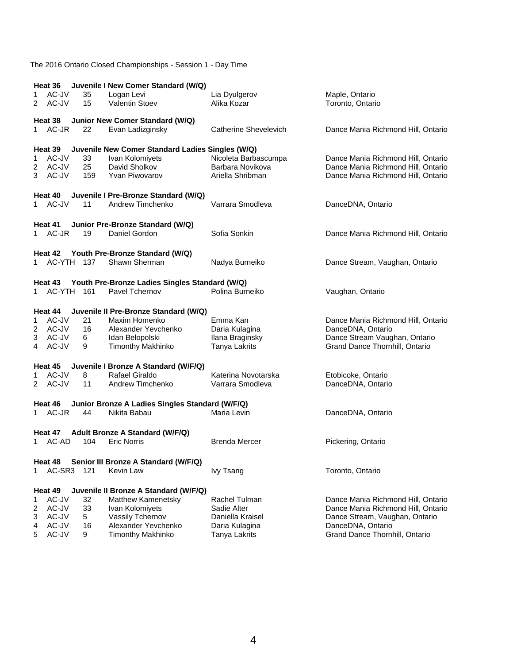|             | Heat 36                                         |     | Juvenile I New Comer Standard (W/Q)                    |                       |                                         |  |  |
|-------------|-------------------------------------------------|-----|--------------------------------------------------------|-----------------------|-----------------------------------------|--|--|
| 1           | AC-JV                                           | 35  | Logan Levi                                             | Lia Dyulgerov         | Maple, Ontario                          |  |  |
| 2           | AC-JV                                           | 15  | <b>Valentin Stoev</b>                                  | Alika Kozar           | Toronto, Ontario                        |  |  |
|             |                                                 |     |                                                        |                       |                                         |  |  |
| 1           | Heat 38<br>AC-JR                                | 22  | Junior New Comer Standard (W/Q)<br>Evan Ladizginsky    | Catherine Shevelevich |                                         |  |  |
|             |                                                 |     |                                                        |                       | Dance Mania Richmond Hill, Ontario      |  |  |
|             | Heat 39                                         |     | Juvenile New Comer Standard Ladies Singles (W/Q)       |                       |                                         |  |  |
| 1           | AC-JV                                           | 33  | Ivan Kolomiyets                                        | Nicoleta Barbascumpa  | Dance Mania Richmond Hill, Ontario      |  |  |
| 2           | AC-JV                                           | 25  | David Sholkov                                          | Barbara Novikova      | Dance Mania Richmond Hill, Ontario      |  |  |
| 3           | AC-JV                                           | 159 | <b>Yvan Piwovarov</b>                                  | Ariella Shribman      | Dance Mania Richmond Hill, Ontario      |  |  |
|             |                                                 |     |                                                        |                       |                                         |  |  |
|             | Heat 40                                         |     | Juvenile I Pre-Bronze Standard (W/Q)                   |                       |                                         |  |  |
|             | 1 AC-JV                                         | 11  | Andrew Timchenko                                       | Varrara Smodleva      | DanceDNA, Ontario                       |  |  |
|             |                                                 |     |                                                        |                       |                                         |  |  |
|             | Heat 41                                         |     | Junior Pre-Bronze Standard (W/Q)                       |                       |                                         |  |  |
| $1 \quad$   | AC-JR                                           | 19  | Daniel Gordon                                          | Sofia Sonkin          | Dance Mania Richmond Hill, Ontario      |  |  |
|             |                                                 |     |                                                        |                       |                                         |  |  |
|             | Heat 42                                         |     | Youth Pre-Bronze Standard (W/Q)                        |                       |                                         |  |  |
| 1.          | AC-YTH 137                                      |     | Shawn Sherman                                          | Nadya Burneiko        | Dance Stream, Vaughan, Ontario          |  |  |
|             |                                                 |     |                                                        |                       |                                         |  |  |
|             | Heat 43                                         |     | Youth Pre-Bronze Ladies Singles Standard (W/Q)         |                       |                                         |  |  |
| $\mathbf 1$ | AC-YTH 161                                      |     | Pavel Tchernov                                         | Polina Burneiko       | Vaughan, Ontario                        |  |  |
|             |                                                 |     |                                                        |                       |                                         |  |  |
|             | Heat 44                                         |     | Juvenile II Pre-Bronze Standard (W/Q)                  |                       |                                         |  |  |
| 1           | AC-JV                                           | 21  | Maxim Homenko                                          | Emma Kan              | Dance Mania Richmond Hill, Ontario      |  |  |
| 2           | AC-JV                                           | 16  | Alexander Yevchenko                                    | Daria Kulagina        | DanceDNA, Ontario                       |  |  |
| 3           | AC-JV                                           | 6   | Idan Belopolski                                        | Ilana Braginsky       | Dance Stream Vaughan, Ontario           |  |  |
| 4           | AC-JV                                           | 9   | <b>Timonthy Makhinko</b>                               | <b>Tanya Lakrits</b>  | Grand Dance Thornhill, Ontario          |  |  |
|             |                                                 |     |                                                        |                       |                                         |  |  |
| 1           | Heat 45<br>AC-JV                                | 8   | Juvenile I Bronze A Standard (W/F/Q)<br>Rafael Giraldo | Katerina Novotarska   |                                         |  |  |
| 2           | AC-JV                                           | 11  | Andrew Timchenko                                       | Varrara Smodleva      | Etobicoke, Ontario<br>DanceDNA, Ontario |  |  |
|             |                                                 |     |                                                        |                       |                                         |  |  |
|             | Heat 46                                         |     | Junior Bronze A Ladies Singles Standard (W/F/Q)        |                       |                                         |  |  |
| 1           | AC-JR                                           | 44  | Nikita Babau                                           | Maria Levin           | DanceDNA, Ontario                       |  |  |
|             |                                                 |     |                                                        |                       |                                         |  |  |
|             | Heat 47                                         |     | Adult Bronze A Standard (W/F/Q)                        |                       |                                         |  |  |
| 1           | AC-AD                                           | 104 | <b>Eric Norris</b>                                     | <b>Brenda Mercer</b>  | Pickering, Ontario                      |  |  |
|             |                                                 |     |                                                        |                       |                                         |  |  |
|             | Senior III Bronze A Standard (W/F/Q)<br>Heat 48 |     |                                                        |                       |                                         |  |  |
| 1           | AC-SR3                                          | 121 | Kevin Law                                              | <b>Ivy Tsang</b>      | Toronto, Ontario                        |  |  |
|             |                                                 |     |                                                        |                       |                                         |  |  |
|             | Heat 49                                         |     | Juvenile II Bronze A Standard (W/F/Q)                  |                       |                                         |  |  |
| 1           | AC-JV                                           | 32  | <b>Matthew Kamenetsky</b>                              | Rachel Tulman         | Dance Mania Richmond Hill, Ontario      |  |  |
| 2           | AC-JV                                           | 33  | Ivan Kolomiyets                                        | Sadie Alter           | Dance Mania Richmond Hill, Ontario      |  |  |
| 3           | AC-JV                                           | 5   | Vassily Tchernov                                       | Daniella Kraisel      | Dance Stream, Vaughan, Ontario          |  |  |
| 4           | AC-JV                                           | 16  | Alexander Yevchenko                                    | Daria Kulagina        | DanceDNA, Ontario                       |  |  |
| 5           | AC-JV                                           | 9   | <b>Timonthy Makhinko</b>                               | <b>Tanya Lakrits</b>  | Grand Dance Thornhill, Ontario          |  |  |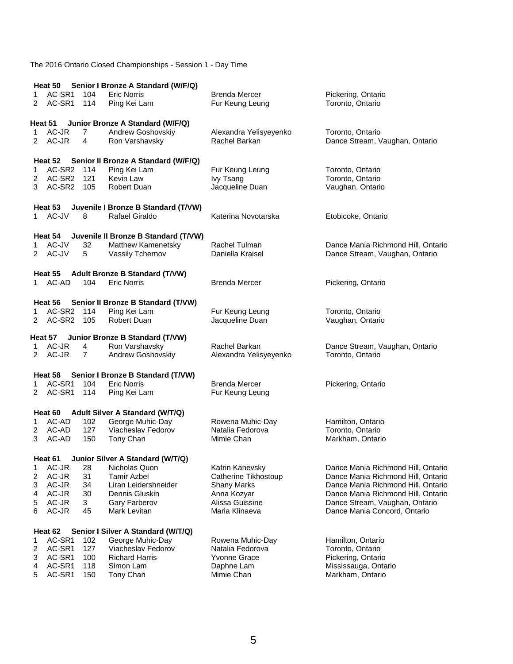|        |                    |                | Heat 50 Senior I Bronze A Standard (W/F/Q)              |                        |                                    |
|--------|--------------------|----------------|---------------------------------------------------------|------------------------|------------------------------------|
| 1      | AC-SR1             | 104            | <b>Eric Norris</b>                                      | <b>Brenda Mercer</b>   | Pickering, Ontario                 |
| 2      | AC-SR1             | 114            | Ping Kei Lam                                            | Fur Keung Leung        | Toronto, Ontario                   |
|        |                    |                |                                                         |                        |                                    |
|        | Heat 51            |                | Junior Bronze A Standard (W/F/Q)                        |                        |                                    |
| 1      | AC-JR              | $\overline{7}$ | Andrew Goshovskiy                                       | Alexandra Yelisyeyenko | Toronto, Ontario                   |
| 2      | AC-JR              | 4              | Ron Varshavsky                                          | Rachel Barkan          | Dance Stream, Vaughan, Ontario     |
|        |                    |                |                                                         |                        |                                    |
|        | Heat 52            |                | Senior II Bronze A Standard (W/F/Q)                     |                        |                                    |
| 1      | AC-SR2 114         |                | Ping Kei Lam                                            | Fur Keung Leung        | Toronto, Ontario                   |
| 2      | AC-SR2 121         |                | Kevin Law                                               | Ivy Tsang              | Toronto, Ontario                   |
| 3      | AC-SR2 105         |                | <b>Robert Duan</b>                                      | Jacqueline Duan        | Vaughan, Ontario                   |
|        |                    |                |                                                         |                        |                                    |
|        | Heat 53            |                | Juvenile I Bronze B Standard (T/VW)                     |                        |                                    |
|        | 1 AC-JV            | 8              | Rafael Giraldo                                          | Katerina Novotarska    | Etobicoke, Ontario                 |
|        |                    |                |                                                         |                        |                                    |
|        | Heat 54            |                | Juvenile II Bronze B Standard (T/VW)                    |                        |                                    |
| 1.     | AC-JV              | 32             | Matthew Kamenetsky                                      | Rachel Tulman          | Dance Mania Richmond Hill, Ontario |
| 2      | AC-JV              | 5              | Vassily Tchernov                                        | Daniella Kraisel       | Dance Stream, Vaughan, Ontario     |
|        |                    |                |                                                         |                        |                                    |
|        | Heat 55            |                | <b>Adult Bronze B Standard (T/VW)</b>                   |                        |                                    |
| 1.     | AC-AD              | 104            | <b>Eric Norris</b>                                      | <b>Brenda Mercer</b>   | Pickering, Ontario                 |
|        |                    |                |                                                         |                        |                                    |
|        | Heat 56            |                | Senior II Bronze B Standard (T/VW)                      |                        |                                    |
|        | AC-SR2             | 114            | Ping Kei Lam                                            | Fur Keung Leung        | Toronto, Ontario                   |
| 2      | AC-SR <sub>2</sub> | 105            | Robert Duan                                             | Jacqueline Duan        | Vaughan, Ontario                   |
|        |                    |                |                                                         |                        |                                    |
|        | Heat 57            |                | Junior Bronze B Standard (T/VW)                         |                        |                                    |
| 1      | AC-JR              | 4              | Ron Varshavsky                                          | Rachel Barkan          | Dance Stream, Vaughan, Ontario     |
| 2      | AC-JR              | 7              | Andrew Goshovskiy                                       | Alexandra Yelisyeyenko | Toronto, Ontario                   |
|        |                    |                |                                                         |                        |                                    |
|        | Heat 58<br>AC-SR1  | 104            | Senior I Bronze B Standard (T/VW)<br><b>Eric Norris</b> | <b>Brenda Mercer</b>   |                                    |
| 1<br>2 | AC-SR1             | 114            | Ping Kei Lam                                            | Fur Keung Leung        | Pickering, Ontario                 |
|        |                    |                |                                                         |                        |                                    |
|        | Heat 60            |                |                                                         |                        |                                    |
| 1      | AC-AD              | 102            | Adult Silver A Standard (W/T/Q)<br>George Muhic-Day     | Rowena Muhic-Day       | Hamilton, Ontario                  |
| 2      | AC-AD              | 127            | Viacheslav Fedorov                                      | Natalia Fedorova       | Toronto, Ontario                   |
| 3      | AC-AD              | 150            | Tony Chan                                               | Mimie Chan             | Markham, Ontario                   |
|        |                    |                |                                                         |                        |                                    |
|        | Heat 61            |                | Junior Silver A Standard (W/T/Q)                        |                        |                                    |
| 1      | AC-JR              | 28             | Nicholas Quon                                           | Katrin Kanevsky        | Dance Mania Richmond Hill, Ontario |
| 2      | AC-JR              | 31             | <b>Tamir Azbel</b>                                      | Catherine Tikhostoup   | Dance Mania Richmond Hill, Ontario |
| 3      | AC-JR              | 34             | Liran Leidershneider                                    | <b>Shany Marks</b>     | Dance Mania Richmond Hill, Ontario |
| 4      | AC-JR              | 30             | Dennis Gluskin                                          | Anna Kozyar            | Dance Mania Richmond Hill, Ontario |
| 5      | AC-JR              | 3              | <b>Gary Farberov</b>                                    | Alissa Guissine        | Dance Stream, Vaughan, Ontario     |
| 6      | AC-JR              | 45             | Mark Levitan                                            | Maria Klinaeva         | Dance Mania Concord, Ontario       |
|        |                    |                |                                                         |                        |                                    |
|        | Heat 62            |                | Senior I Silver A Standard (W/T/Q)                      |                        |                                    |
| 1      | AC-SR1             | 102            | George Muhic-Day                                        | Rowena Muhic-Day       | Hamilton, Ontario                  |
| 2      | AC-SR1             | 127            | Viacheslav Fedorov                                      | Natalia Fedorova       | Toronto, Ontario                   |
| 3      | AC-SR1             | 100            | <b>Richard Harris</b>                                   | <b>Yvonne Grace</b>    | Pickering, Ontario                 |
| 4      | AC-SR1             | 118            | Simon Lam                                               | Daphne Lam             | Mississauga, Ontario               |
| 5      | AC-SR1             | 150            | Tony Chan                                               | Mimie Chan             | Markham, Ontario                   |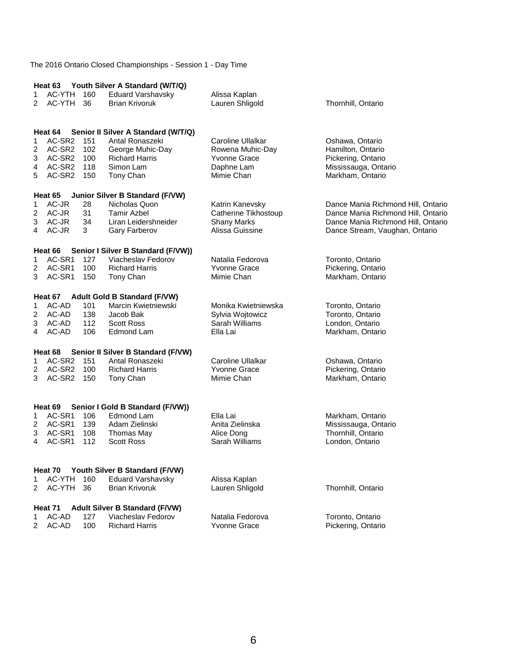|                |                  |     | Heat 63 Youth Silver A Standard (W/T/Q)          |                      |                                    |
|----------------|------------------|-----|--------------------------------------------------|----------------------|------------------------------------|
| 1              | AC-YTH           | 160 | <b>Eduard Varshavsky</b>                         | Alissa Kaplan        |                                    |
| 2              | AC-YTH           | 36  | <b>Brian Krivoruk</b>                            | Lauren Shligold      | Thornhill, Ontario                 |
|                |                  |     |                                                  |                      |                                    |
|                |                  |     |                                                  |                      |                                    |
|                | Heat 64          |     | Senior II Silver A Standard (W/T/Q)              |                      |                                    |
| 1              | AC-SR2           | 151 | Antal Ronaszeki                                  | Caroline Ullalkar    | Oshawa, Ontario                    |
| 2              | AC-SR2           | 102 | George Muhic-Day                                 | Rowena Muhic-Day     | Hamilton, Ontario                  |
| 3              | AC-SR2 100       |     | <b>Richard Harris</b>                            | <b>Yvonne Grace</b>  | Pickering, Ontario                 |
| 4              | AC-SR2 118       |     | Simon Lam                                        | Daphne Lam           | Mississauga, Ontario               |
| 5              | AC-SR2 150       |     | Tony Chan                                        | Mimie Chan           | Markham, Ontario                   |
|                |                  |     |                                                  |                      |                                    |
| 1              | Heat 65<br>AC-JR | 28  | Junior Silver B Standard (F/VW)<br>Nicholas Quon | Katrin Kanevsky      | Dance Mania Richmond Hill, Ontario |
| 2              | AC-JR            | 31  | Tamir Azbel                                      |                      |                                    |
|                |                  |     |                                                  | Catherine Tikhostoup | Dance Mania Richmond Hill, Ontario |
| 3              | AC-JR            | 34  | Liran Leidershneider                             | <b>Shany Marks</b>   | Dance Mania Richmond Hill, Ontario |
| 4              | AC-JR            | 3   | Gary Farberov                                    | Alissa Guissine      | Dance Stream, Vaughan, Ontario     |
|                | Heat 66          |     | Senior I Silver B Standard (F/VW))               |                      |                                    |
| 1              | AC-SR1           | 127 | Viacheslav Fedorov                               | Natalia Fedorova     | Toronto, Ontario                   |
| 2              | AC-SR1           | 100 | <b>Richard Harris</b>                            | Yvonne Grace         | Pickering, Ontario                 |
| 3              | AC-SR1           | 150 | Tony Chan                                        | Mimie Chan           | Markham, Ontario                   |
|                |                  |     |                                                  |                      |                                    |
|                |                  |     | Heat 67 Adult Gold B Standard (F/VW)             |                      |                                    |
| 1              | AC-AD            | 101 | Marcin Kwietniewski                              | Monika Kwietniewska  | Toronto, Ontario                   |
| $\overline{2}$ | AC-AD            | 138 | Jacob Bak                                        | Sylvia Wojtowicz     | Toronto, Ontario                   |
| 3              | AC-AD            | 112 | <b>Scott Ross</b>                                | Sarah Williams       | London, Ontario                    |
| 4              | AC-AD            | 106 | Edmond Lam                                       | Ella Lai             | Markham, Ontario                   |
|                |                  |     |                                                  |                      |                                    |
|                | Heat 68          |     | Senior II Silver B Standard (F/VW)               |                      |                                    |
| 1              | AC-SR2 151       |     | Antal Ronaszeki                                  | Caroline Ullalkar    | Oshawa, Ontario                    |
| 2              | AC-SR2 100       |     | <b>Richard Harris</b>                            | <b>Yvonne Grace</b>  | Pickering, Ontario                 |
| 3              | AC-SR2           | 150 | Tony Chan                                        | Mimie Chan           | Markham, Ontario                   |
|                |                  |     |                                                  |                      |                                    |
|                | Heat 69          |     | Senior I Gold B Standard (F/VW))                 |                      |                                    |
| 1              | AC-SR1           | 106 | Edmond Lam                                       | Ella Lai             | Markham, Ontario                   |
| $\overline{2}$ | AC-SR1           | 139 | Adam Zielinski                                   | Anita Zielinska      | Mississauga, Ontario               |
| 3              | AC-SR1           | 108 | Thomas May                                       | Alice Dong           | Thornhill, Ontario                 |
| 4              | AC-SR1           | 112 | <b>Scott Ross</b>                                | Sarah Williams       | London, Ontario                    |
|                |                  |     |                                                  |                      |                                    |
|                |                  |     |                                                  |                      |                                    |
|                | Heat 70          |     | Youth Silver B Standard (F/VW)                   |                      |                                    |
| 1              | AC-YTH           | 160 | Eduard Varshavsky                                | Alissa Kaplan        |                                    |
| 2              | AC-YTH           | 36  | <b>Brian Krivoruk</b>                            | Lauren Shligold      | Thornhill, Ontario                 |
|                | Heat 71          |     | Adult Silver B Standard (F/VW)                   |                      |                                    |
| 1              | AC-AD            | 127 | Viacheslav Fedorov                               | Natalia Fedorova     | Toronto, Ontario                   |
| 2              | AC-AD            | 100 | <b>Richard Harris</b>                            | <b>Yvonne Grace</b>  | Pickering, Ontario                 |
|                |                  |     |                                                  |                      |                                    |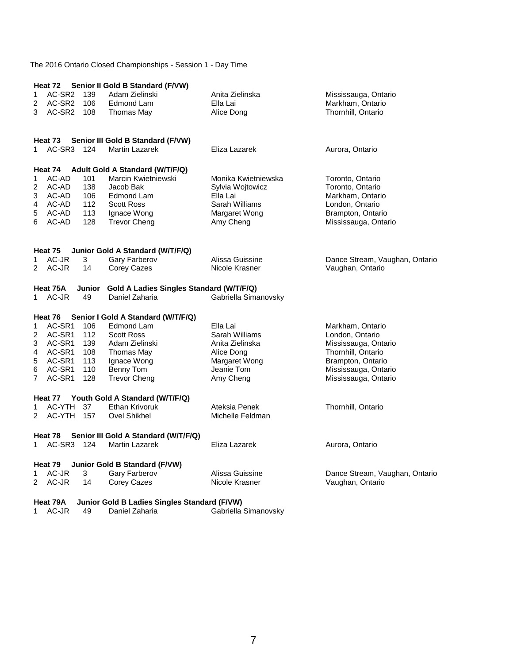|                | Heat 72           |       | Senior II Gold B Standard (F/VW)                                  |                      |                                |
|----------------|-------------------|-------|-------------------------------------------------------------------|----------------------|--------------------------------|
| 1              | AC-SR2            | 139   | Adam Zielinski                                                    | Anita Zielinska      | Mississauga, Ontario           |
| 2              | AC-SR2            | 106   | Edmond Lam                                                        | Ella Lai             | Markham, Ontario               |
| 3              | AC-SR2 108        |       | Thomas May                                                        | Alice Dong           | Thornhill, Ontario             |
|                |                   |       |                                                                   |                      |                                |
|                | Heat 73           |       | Senior III Gold B Standard (F/VW)                                 |                      |                                |
| 1.             | AC-SR3            | - 124 | <b>Martin Lazarek</b>                                             | Eliza Lazarek        | Aurora, Ontario                |
|                |                   |       | Heat 74 Adult Gold A Standard (W/T/F/Q)                           |                      |                                |
| 1              | AC-AD             | 101   | Marcin Kwietniewski                                               | Monika Kwietniewska  | Toronto, Ontario               |
| 2              | AC-AD             | 138   | Jacob Bak                                                         | Sylvia Wojtowicz     | Toronto, Ontario               |
| 3              | AC-AD             | 106   | Edmond Lam                                                        | Ella Lai             | Markham, Ontario               |
| 4              | AC-AD             | 112   | <b>Scott Ross</b>                                                 | Sarah Williams       | London, Ontario                |
| 5              | AC-AD             | 113   | Ignace Wong                                                       | Margaret Wong        | Brampton, Ontario              |
| 6              | AC-AD             | 128   | <b>Trevor Cheng</b>                                               | Amy Cheng            | Mississauga, Ontario           |
|                | Heat 75           |       | Junior Gold A Standard (W/T/F/Q)                                  |                      |                                |
| 1.             | AC-JR             | 3     | Gary Farberov                                                     | Alissa Guissine      | Dance Stream, Vaughan, Ontario |
| 2              | AC-JR             | 14    | Corey Cazes                                                       | Nicole Krasner       | Vaughan, Ontario               |
|                |                   |       |                                                                   |                      |                                |
| 1              | Heat 75A<br>AC-JR | 49    | Junior Gold A Ladies Singles Standard (W/T/F/Q)<br>Daniel Zaharia |                      |                                |
|                |                   |       |                                                                   | Gabriella Simanovsky |                                |
|                | Heat 76           |       | Senior I Gold A Standard (W/T/F/Q)                                |                      |                                |
| 1              | AC-SR1            | 106   | Edmond Lam                                                        | Ella Lai             | Markham, Ontario               |
| 2              | AC-SR1            | 112   | <b>Scott Ross</b>                                                 | Sarah Williams       | London, Ontario                |
| 3              | AC-SR1            | 139   | Adam Zielinski                                                    | Anita Zielinska      | Mississauga, Ontario           |
| 4              | AC-SR1            | 108   | Thomas May                                                        | Alice Dong           | Thornhill, Ontario             |
| 5              | AC-SR1            | 113   | Ignace Wong                                                       | Margaret Wong        | Brampton, Ontario              |
| 6              | AC-SR1            | 110   | Benny Tom                                                         | Jeanie Tom           | Mississauga, Ontario           |
| $\overline{7}$ | AC-SR1            | 128   | <b>Trevor Cheng</b>                                               | Amy Cheng            | Mississauga, Ontario           |
|                | Heat 77           |       | Youth Gold A Standard (W/T/F/Q)                                   |                      |                                |
| 1              | AC-YTH            | 37    | Ethan Krivoruk                                                    | Ateksia Penek        | Thornhill, Ontario             |
| 2              | AC-YTH 157        |       | Ovel Shikhel                                                      | Michelle Feldman     |                                |
|                | Heat 78           |       | Senior III Gold A Standard (W/T/F/Q)                              |                      |                                |
| $1 \quad$      | AC-SR3            | 124   | <b>Martin Lazarek</b>                                             | Eliza Lazarek        | Aurora, Ontario                |
|                | Heat 79           |       | Junior Gold B Standard (F/VW)                                     |                      |                                |
| 1              | AC-JR             | 3     | Gary Farberov                                                     | Alissa Guissine      | Dance Stream, Vaughan, Ontario |
| $\overline{2}$ | AC-JR             | 14    | Corey Cazes                                                       | Nicole Krasner       | Vaughan, Ontario               |
|                | Heat 79A          |       | Junior Gold B Ladies Singles Standard (F/VW)                      |                      |                                |
| 1.             | AC-JR             | 49    | Daniel Zaharia                                                    | Gabriella Simanovsky |                                |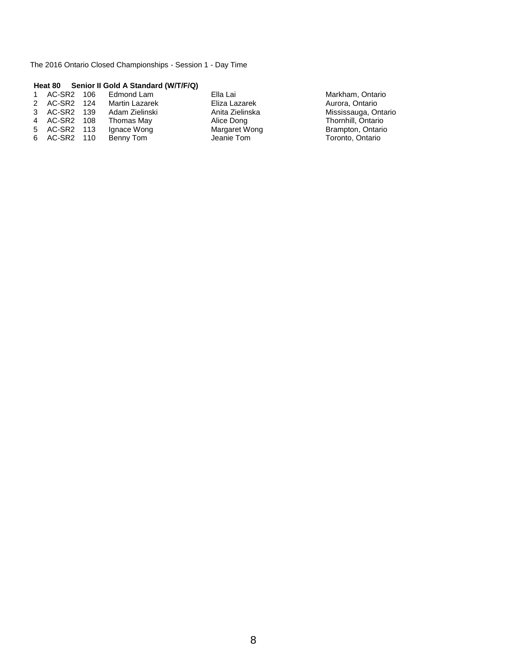#### **Heat 80 Senior II Gold A Standard (W/T/F/Q)**

| 1 AC-SR2 106 | Edmond Lam            | Ella Lai        | Markham, Ontario     |
|--------------|-----------------------|-----------------|----------------------|
| 2 AC-SR2 124 | <b>Martin Lazarek</b> | Eliza Lazarek   | Aurora, Ontario      |
| 3 AC-SR2 139 | Adam Zielinski        | Anita Zielinska | Mississauga, Ontario |
| 4 AC-SR2 108 | Thomas May            | Alice Dong      | Thornhill, Ontario   |
| 5 AC-SR2 113 | Ignace Wong           | Margaret Wong   | Brampton, Ontario    |
| 6 AC-SR2 110 | Benny Tom             | Jeanie Tom      | Toronto, Ontario     |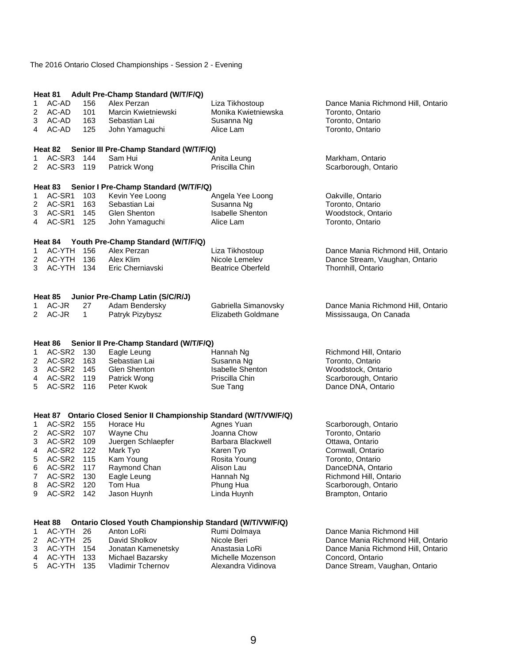#### The 2016 Ontario Closed Championships - Session 2 - Evening

|                | Heat 81                  |              | Adult Pre-Champ Standard (W/T/F/Q)                                  |                           |                                            |
|----------------|--------------------------|--------------|---------------------------------------------------------------------|---------------------------|--------------------------------------------|
| 1              | AC-AD                    | 156          | Alex Perzan                                                         | Liza Tikhostoup           | Dance Mania Richmond Hill, Ontario         |
| 2              | AC-AD                    | 101          | Marcin Kwietniewski                                                 | Monika Kwietniewska       | Toronto, Ontario                           |
| 3              | AC-AD                    | 163          | Sebastian Lai                                                       | Susanna Ng                | Toronto, Ontario                           |
| 4              | AC-AD                    | 125          | John Yamaguchi                                                      | Alice Lam                 | Toronto, Ontario                           |
|                | Heat 82                  |              | Senior III Pre-Champ Standard (W/T/F/Q)                             |                           |                                            |
| 1              | AC-SR3                   | 144          | Sam Hui                                                             | Anita Leung               | Markham, Ontario                           |
| 2              | AC-SR3                   | 119          | Patrick Wong                                                        | Priscilla Chin            | Scarborough, Ontario                       |
|                |                          |              |                                                                     |                           |                                            |
|                | Heat 83                  |              | Senior I Pre-Champ Standard (W/T/F/Q)                               |                           |                                            |
| 1              | AC-SR1                   | 103          | Kevin Yee Loong                                                     | Angela Yee Loong          | Oakville, Ontario                          |
| 2              | AC-SR1                   | 163          | Sebastian Lai                                                       | Susanna Ng                | Toronto, Ontario                           |
| 3              | AC-SR1                   | 145          | Glen Shenton                                                        | <b>Isabelle Shenton</b>   | Woodstock, Ontario                         |
| 4              | AC-SR1                   | 125          | John Yamaguchi                                                      | Alice Lam                 | Toronto, Ontario                           |
|                | Heat 84                  |              | Youth Pre-Champ Standard (W/T/F/Q)                                  |                           |                                            |
| 1              | AC-YTH                   | 156          | Alex Perzan                                                         | Liza Tikhostoup           | Dance Mania Richmond Hill, Ontario         |
| 2              | AC-YTH 136               |              | Alex Klim                                                           | Nicole Lemelev            | Dance Stream, Vaughan, Ontario             |
| 3              | AC-YTH 134               |              | Eric Cherniavski                                                    | <b>Beatrice Oberfeld</b>  | Thornhill, Ontario                         |
|                |                          |              |                                                                     |                           |                                            |
|                | Heat 85                  |              | Junior Pre-Champ Latin (S/C/R/J)                                    |                           |                                            |
| 1              | AC-JR                    | 27           | Adam Bendersky                                                      | Gabriella Simanovsky      | Dance Mania Richmond Hill, Ontario         |
| $\overline{2}$ | AC-JR                    | $\mathbf{1}$ | Patryk Pizybysz                                                     | Elizabeth Goldmane        | Mississauga, On Canada                     |
|                |                          |              |                                                                     |                           |                                            |
|                | Heat 86                  |              | Senior II Pre-Champ Standard (W/T/F/Q)                              |                           |                                            |
| 1              | AC-SR2 130               |              | Eagle Leung                                                         | Hannah Ng                 | Richmond Hill, Ontario                     |
| 2              | AC-SR2 163               |              | Sebastian Lai                                                       | Susanna Ng                | Toronto, Ontario                           |
| 3              | AC-SR2 145               |              | Glen Shenton                                                        | <b>Isabelle Shenton</b>   | Woodstock, Ontario                         |
| 4<br>5         | AC-SR2 119<br>AC-SR2 116 |              | Patrick Wong<br>Peter Kwok                                          | Priscilla Chin            | Scarborough, Ontario<br>Dance DNA, Ontario |
|                |                          |              |                                                                     | Sue Tang                  |                                            |
|                |                          |              |                                                                     |                           |                                            |
|                |                          |              | Heat 87 Ontario Closed Senior II Championship Standard (W/T/VW/F/Q) |                           |                                            |
| 1              | AC-SR2 155<br>AC-SR2 107 |              | Horace Hu<br>Wayne Chu                                              | Agnes Yuan<br>Joanna Chow | Scarborough, Ontario<br>Toronto, Ontario   |
| 2<br>3         | AC-SR2 109               |              | Juergen Schlaepfer                                                  | Barbara Blackwell         | Ottawa, Ontario                            |
| 4              | AC-SR2                   | 122          | Mark Tyo                                                            | Karen Tyo                 | Cornwall, Ontario                          |
| 5              | AC-SR2                   | 115          | Kam Young                                                           | Rosita Young              | Toronto, Ontario                           |
| 6              | AC-SR2 117               |              | Raymond Chan                                                        | Alison Lau                | DanceDNA, Ontario                          |
| 7              | AC-SR2                   | 130          | Eagle Leung                                                         | Hannah Ng                 | Richmond Hill, Ontario                     |
| 8              | AC-SR2                   | 120          | Tom Hua                                                             | Phung Hua                 | Scarborough, Ontario                       |
| 9              | AC-SR2                   | 142          | Jason Huynh                                                         | Linda Huynh               | Brampton, Ontario                          |
|                |                          |              |                                                                     |                           |                                            |
|                | Heat 88                  |              | Ontario Closed Youth Championship Standard (W/T/VW/F/Q)             |                           |                                            |
| 1              | AC-YTH                   | 26           | Anton LoRi                                                          | Rumi Dolmaya              | Dance Mania Richmond Hill                  |
| 2              | AC-YTH                   | 25           | David Sholkov                                                       | Nicole Beri               | Dance Mania Richmond Hill, Ontario         |
| 3              | AC-YTH                   | 154          | Jonatan Kamenetsky                                                  | Anastasia LoRi            | Dance Mania Richmond Hill, Ontario         |
| 4              | AC-YTH                   | 133          | Michael Bazarsky                                                    | Michelle Mozenson         | Concord, Ontario                           |
| 5              | AC-YTH                   | 135          | Vladimir Tchernov                                                   | Alexandra Vidinova        | Dance Stream, Vaughan, Ontario             |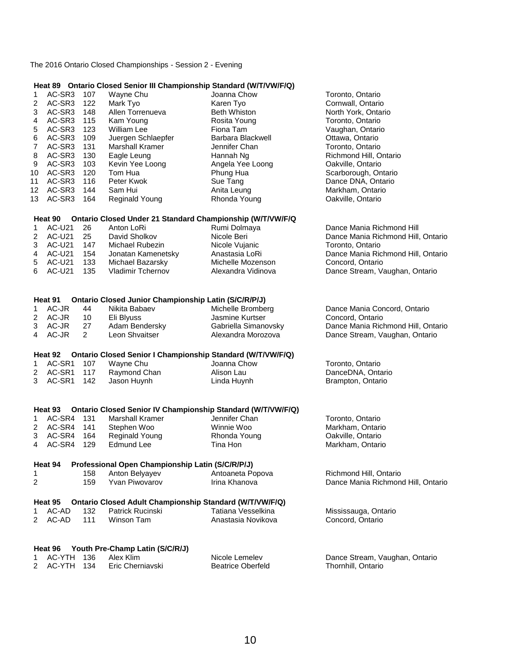The 2016 Ontario Closed Championships - Session 2 - Evening

#### **Heat 89 Ontario Closed Senior III Championship Standard (W/T/VW/F/Q)**

|                | $\overline{\phantom{a}}$ |                      |                                                                | Untain Under Jennor in Unamploiship Utanuaru (WITTWITTS)    |                                    |
|----------------|--------------------------|----------------------|----------------------------------------------------------------|-------------------------------------------------------------|------------------------------------|
| 1              | AC-SR3                   | 107                  | Wayne Chu                                                      | Joanna Chow                                                 | Toronto, Ontario                   |
| $\overline{c}$ | AC-SR3                   | 122                  | Mark Tyo                                                       | Karen Tyo                                                   | Cornwall, Ontario                  |
| 3              | AC-SR3                   | 148                  | Allen Torrenueva                                               | Beth Whiston                                                | North York, Ontario                |
| 4              | AC-SR3                   | 115                  | Kam Young                                                      | Rosita Young                                                | Toronto, Ontario                   |
|                | AC-SR3                   | 123                  | William Lee                                                    | Fiona Tam                                                   | Vaughan, Ontario                   |
| 5              |                          |                      |                                                                |                                                             |                                    |
| 6              | AC-SR3                   | 109                  | Juergen Schlaepfer                                             | Barbara Blackwell                                           | Ottawa, Ontario                    |
| $\overline{7}$ | AC-SR3                   | 131                  | Marshall Kramer                                                | Jennifer Chan                                               | Toronto, Ontario                   |
| 8              | AC-SR3                   | 130                  | Eagle Leung                                                    | Hannah Ng                                                   | Richmond Hill, Ontario             |
| 9              | AC-SR3                   | 103                  | Kevin Yee Loong                                                | Angela Yee Loong                                            | Oakville, Ontario                  |
| 10             | AC-SR3                   | 120                  | Tom Hua                                                        | Phung Hua                                                   | Scarborough, Ontario               |
| 11             | AC-SR3                   | 116                  | Peter Kwok                                                     | Sue Tang                                                    | Dance DNA, Ontario                 |
|                | AC-SR3                   |                      |                                                                |                                                             | Markham, Ontario                   |
| 12             |                          | 144                  | Sam Hui                                                        | Anita Leung                                                 |                                    |
| 13             | AC-SR3                   | 164                  | <b>Reginald Young</b>                                          | Rhonda Young                                                | Oakville, Ontario                  |
|                | Heat 90                  |                      |                                                                | Ontario Closed Under 21 Standard Championship (W/T/VW/F/Q   |                                    |
| 1              | <b>AC-U21</b>            | 26                   | Anton LoRi                                                     | Rumi Dolmaya                                                | Dance Mania Richmond Hill          |
| $\overline{c}$ | <b>AC-U21</b>            | 25                   | David Sholkov                                                  | Nicole Beri                                                 | Dance Mania Richmond Hill, Ontario |
|                |                          |                      |                                                                |                                                             |                                    |
| 3              | <b>AC-U21</b>            | 147                  | Michael Rubezin                                                | Nicole Vujanic                                              | Toronto, Ontario                   |
| 4              | <b>AC-U21</b>            | 154                  | Jonatan Kamenetsky                                             | Anastasia LoRi                                              | Dance Mania Richmond Hill, Ontario |
| 5              | <b>AC-U21</b>            | 133                  | Michael Bazarsky                                               | Michelle Mozenson                                           | Concord, Ontario                   |
| 6              | <b>AC-U21</b>            | 135                  | <b>Vladimir Tchernov</b>                                       | Alexandra Vidinova                                          | Dance Stream, Vaughan, Ontario     |
|                |                          |                      |                                                                |                                                             |                                    |
|                | Heat 91                  |                      | <b>Ontario Closed Junior Championship Latin (S/C/R/P/J)</b>    |                                                             |                                    |
| 1              | AC-JR                    | 44                   | Nikita Babaev                                                  | Michelle Bromberg                                           | Dance Mania Concord, Ontario       |
| $\overline{c}$ | AC-JR                    | 10                   | Eli Blyuss                                                     | Jasmine Kurtser                                             | Concord, Ontario                   |
| 3              | AC-JR                    | 27                   | Adam Bendersky                                                 | Gabriella Simanovsky                                        | Dance Mania Richmond Hill, Ontario |
| 4              | AC-JR                    | $\mathbf{2}^{\circ}$ | Leon Shvaitser                                                 | Alexandra Morozova                                          | Dance Stream, Vaughan, Ontario     |
|                |                          |                      |                                                                |                                                             |                                    |
|                | Heat 92                  |                      |                                                                | Ontario Closed Senior I Championship Standard (W/T/VW/F/Q)  |                                    |
| 1              | AC-SR1                   | 107                  | Wayne Chu                                                      | Joanna Chow                                                 | Toronto, Ontario                   |
| $\overline{c}$ | AC-SR1                   | 117                  | Raymond Chan                                                   | Alison Lau                                                  | DanceDNA, Ontario                  |
| 3              | AC-SR1                   | 142                  | Jason Huynh                                                    | Linda Huynh                                                 | Brampton, Ontario                  |
|                |                          |                      |                                                                |                                                             |                                    |
|                | Heat 93                  |                      |                                                                | Ontario Closed Senior IV Championship Standard (W/T/VW/F/Q) |                                    |
| 1              | AC-SR4 131               |                      | <b>Marshall Kramer</b>                                         | Jennifer Chan                                               | Toronto, Ontario                   |
| $\overline{c}$ | AC-SR4                   | 141                  | Stephen Woo                                                    | Winnie Woo                                                  | Markham, Ontario                   |
| 3              | AC-SR4                   | 164                  | <b>Reginald Young</b>                                          | Rhonda Young                                                | Oakville, Ontario                  |
| 4              | AC-SR4                   | 129                  | Edmund Lee                                                     | Tina Hon                                                    |                                    |
|                |                          |                      |                                                                |                                                             | Markham, Ontario                   |
|                | Heat 94                  |                      | Professional Open Championship Latin (S/C/R/P/J)               |                                                             |                                    |
| 1              |                          | 158                  | Anton Belyayev                                                 | Antoaneta Popova                                            | Richmond Hill, Ontario             |
| 2              |                          | 159                  | <b>Yvan Piwovarov</b>                                          | Irina Khanova                                               | Dance Mania Richmond Hill, Ontario |
|                |                          |                      |                                                                |                                                             |                                    |
|                | Heat 95                  |                      | <b>Ontario Closed Adult Championship Standard (W/T/VW/F/Q)</b> |                                                             |                                    |
| 1              | AC-AD                    | 132                  | Patrick Rucinski                                               | Tatiana Vesselkina                                          | Mississauga, Ontario               |
| 2              | AC-AD                    | 111                  | <b>Winson Tam</b>                                              | Anastasia Novikova                                          | Concord, Ontario                   |
|                |                          |                      |                                                                |                                                             |                                    |
|                | Heat 96                  |                      | Youth Pre-Champ Latin (S/C/R/J)                                |                                                             |                                    |
| 1              | AC-YTH                   | 136                  | Alex Klim                                                      | Nicole Lemelev                                              | Dance Stream, Vaughan, Ontario     |
| 2              | AC-YTH                   | 134                  | Eric Cherniavski                                               | <b>Beatrice Oberfeld</b>                                    | Thornhill, Ontario                 |